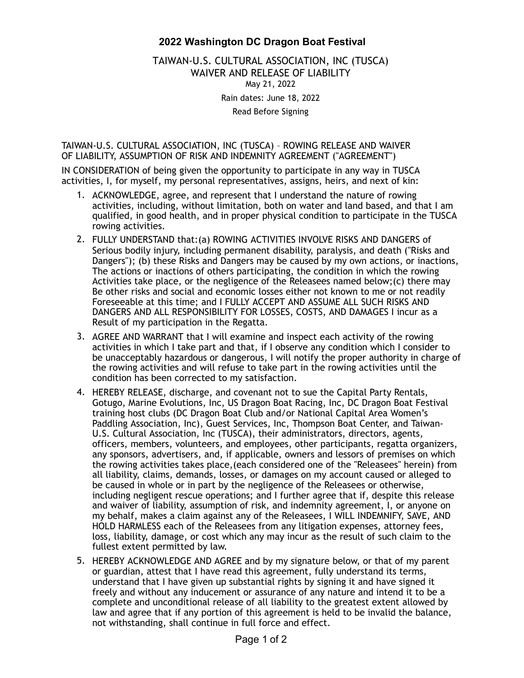## 2022 Washington DC Dragon Boat Festival

TAIWAN-U.S. CULTURAL ASSOCIATION, INC (TUSCA) WAIVER AND RELEASE OF LIABILITY May 21, 2022

Rain dates: June 18, 2022

Read Before Signing

TAIWAN-U.S. CULTURAL ASSOCIATION, INC (TUSCA) – ROWING RELEASE AND WAIVER OF LIABILITY, ASSUMPTION OF RISK AND INDEMNITY AGREEMENT ("AGREEMENT")

IN CONSIDERATION of being given the opportunity to participate in any way in TUSCA activities, I, for myself, my personal representatives, assigns, heirs, and next of kin:

- 1. ACKNOWLEDGE, agree, and represent that I understand the nature of rowing activities, including, without limitation, both on water and land based, and that I am qualified, in good health, and in proper physical condition to participate in the TUSCA rowing activities.
- 2. FULLY UNDERSTAND that:(a) ROWING ACTIVITIES INVOLVE RISKS AND DANGERS of Serious bodily injury, including permanent disability, paralysis, and death ("Risks and Dangers"); (b) these Risks and Dangers may be caused by my own actions, or inactions, The actions or inactions of others participating, the condition in which the rowing Activities take place, or the negligence of the Releasees named below;(c) there may Be other risks and social and economic losses either not known to me or not readily Foreseeable at this time; and I FULLY ACCEPT AND ASSUME ALL SUCH RISKS AND DANGERS AND ALL RESPONSIBILITY FOR LOSSES, COSTS, AND DAMAGES I incur as a Result of my participation in the Regatta.
- 3. AGREE AND WARRANT that I will examine and inspect each activity of the rowing activities in which I take part and that, if I observe any condition which I consider to be unacceptably hazardous or dangerous, I will notify the proper authority in charge of the rowing activities and will refuse to take part in the rowing activities until the condition has been corrected to my satisfaction.
- 4. HEREBY RELEASE, discharge, and covenant not to sue the Capital Party Rentals, Gotugo, Marine Evolutions, Inc, US Dragon Boat Racing, Inc, DC Dragon Boat Festival training host clubs (DC Dragon Boat Club and/or National Capital Area Women's Paddling Association, Inc), Guest Services, Inc, Thompson Boat Center, and Taiwan-U.S. Cultural Association, Inc (TUSCA), their administrators, directors, agents, officers, members, volunteers, and employees, other participants, regatta organizers, any sponsors, advertisers, and, if applicable, owners and lessors of premises on which the rowing activities takes place,(each considered one of the "Releasees" herein) from all liability, claims, demands, losses, or damages on my account caused or alleged to be caused in whole or in part by the negligence of the Releasees or otherwise, including negligent rescue operations; and I further agree that if, despite this release and waiver of liability, assumption of risk, and indemnity agreement, I, or anyone on my behalf, makes a claim against any of the Releasees, I WILL INDEMNIFY, SAVE, AND HOLD HARMLESS each of the Releasees from any litigation expenses, attorney fees, loss, liability, damage, or cost which any may incur as the result of such claim to the fullest extent permitted by law.
- 5. HEREBY ACKNOWLEDGE AND AGREE and by my signature below, or that of my parent or guardian, attest that I have read this agreement, fully understand its terms, understand that I have given up substantial rights by signing it and have signed it freely and without any inducement or assurance of any nature and intend it to be a complete and unconditional release of all liability to the greatest extent allowed by law and agree that if any portion of this agreement is held to be invalid the balance, not withstanding, shall continue in full force and effect.